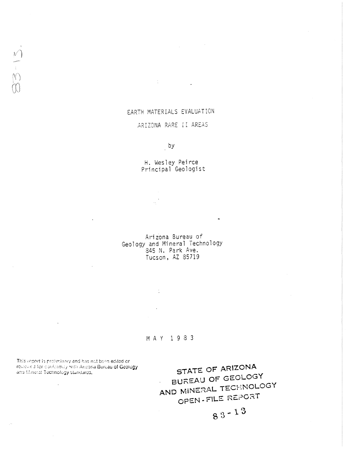# EARTH MATERIALS EVALUATION

 $\frac{1}{2}$ 

# ARIZONA RARE II AREAS

 $\overline{a}$ 

H. Wesley Peirce<br>Principal Geologist

Arizona Bureau of Geology and Mineral Technology<br>845 N. Park Ave.<br>Tucson, AZ 85719

MAY 1983

This report is prollminary and has not been edited or residived for conformity with Arizona Bureau of Geology. and Mineral Technology standards,

 $\begin{bmatrix} 1 \\ 0 \\ 0 \\ 0 \end{bmatrix}$ 

STATE OF ARIZONA BUREAU OF GEOLOGY AND MINERAL TECHNOLOGY OPEN-FILE REPORT

 $83 - 13$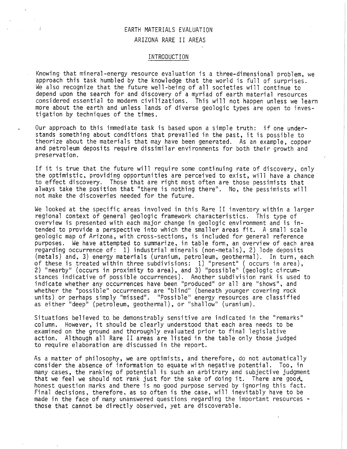# EARTH MATERIALS EVALUATION ARIZONA RARE II AREAS

### INTRODUCTION

Knowing that mineral-energy resource evaluation is a three-dimensional problem, we approach this task humbled by the knowledge that the world is full of surprises. We also recognize that the future well-being of all societies will continue to depend upon the search for and discovery of a myriad of earth material resources considered essential to modern civilizations. This will not happen unless we learn more about the earth and unless lands of diverse geologic types are open to investigation by techniques of the times.

Our approach to this immediate task is based upon a simple truth: if one understands something about conditions that prevailed in the past, it is possible to theorize about the materials that may have been generated. As an example, copper and petroleum deposits require dissimilar environments for both their growth and preservation.

If it is true that the future will require some continuing rate of discovery, only the optimistic, providing opportunities are perceived to exist, will have a chance to effect discovery. Those that are right most often are those pessimists that always take the position that "there is nothing there". No, the pessimists will not make the discoveries needed for the future.

We looked at the specific areas involved in this Rare II inventory within a larger regional context of general geologic framework characteristics. This type of overview is presented with each major change in geologic environment and is intended to provide a perspective into which the smaller areas fit. A small scale geologic map of Arizona, with cross-sections, is included for general reference purposes. We have attempted to summarize, in table form, an overview of each area regarding occurrence of: 1) industrial minerals (non-metals), 2) lode deposits (metals) and, 3) energy materials (uranium, petroleum, geothermal). In turn, each of these is treated within three subdivisions:  $1)$  "present" ( occurs in area), 2) "nearby" (occurs in proximity to area), and 3) "possible" (geologic circumstances indicative of possible occurrences). Another subdivision rank is used to indicate whether any occurrences have been "produced" or all are "shows", and whether the "possible" occurrences are "blind" (beneath younger covering rock units) or perhaps simply "missed". "Possible" energy resources are classified as either "deep" (petroleum, geothermal), or "shallow" (uranium).

Situations believed to be demonstrably sensitive are indicated in the "remarks" column. However, it should be clearly understood that each area needs to be examined on the ground and thoroughly evaluated prior to final legislative action. Although all Rare II areas are listed in the table only those judged to require elaboration are discussed in the report.

As a matter of philosophy, we are optimists, and therefore, do not automatically consider the absence of information to equate with negative potential. Too, in many cases, the ranking of potential is such an arbitrary and subjective judgment<br>that we feel we should not rank just for the sake of doing it. There are good honest question marks and there is no good purpose served by ignoring this fact. Final decisions, therefore, as so often is the case, will inevitably have to be made in the face of many unanswered questions regarding the important resources - those that cannot be directly observed, yet are discoverable.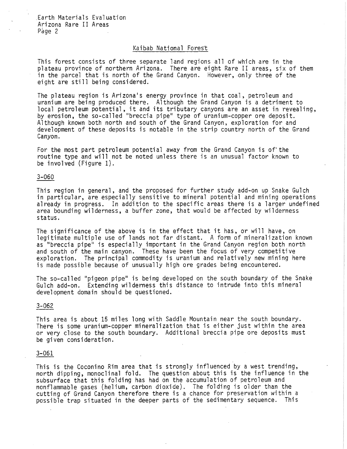### Kaibab National Forest

This forest consists of three separate land regions all of which are in the plateau province of northern Arizona. There are eight Rare II areas, six of them in the parcel that is north of the Grand Canyon. However, only three of the eight are still being considered.

The plateau region is Arizona's energy province in that coal, petroleum and uranium are being produced there. Although the Grand Canyon is a detriment to local petroleum potential, it and its tributary canyons are an asset in revealing, by erosion, the so-called "breccia pipe" type of uranium-copper ore deposit. Although known both north and south of the Grand Canyon, exploration for and development of these deposits is notable in the strip country north of the Grand Canyon.

For the most part petroleum potential away from the Grand Canyon is of'the routine type and will not be noted unless there is an unusual factor known to be involved (Figure 1).

### 3-060

This region in general, and the proposed for further study add-on up Snake Gulch in particular, are especially sensitive to mineral potential and mining operations already in progress. In addition to the specific areas there is a larger undefined area bounding wilderness, a buffer zone, that would be affected by wilderness status.

The significance of the above is in the effect that it has, or will have, on legitimate multiple use of lands not far distant. A form of mineralization known as "breccia pipe" is especially important in the Grand Canyon region both north<br>and south of the main canyon. These have been the focus of very competitive exploration. The principal commodity is uranium and relatively new mining here is made possible because of unusually high ore grades being encountered.

The so-called "pigeon pipe" is being developed on the south boundary of the Snake Gulch add-on. Extending wilderness this distance to intrude into this mineral development domain should be questioned.

### 3-062

This area is about 15 miles long with Saddle Mountain near the south boundary, There is some uranium-copper mineralization that is either just within the area or very close to the south boundary, Additional breccia pipe ore deposits must be given consideration.

### 3-061

This is the Coconino Rim area that is strongly influenced by a west trending, north dipping, monoclinal fold. The question about this is the influence in the subsurface that this folding has had on the accumulation of petroleum and nonflammable gases (helium, carbon dioxide), The folding is older than the cutting of Grand Canyon therefore there is a chance for preservation within a possible trap situated in the deeper parts of the sedimentary sequence. This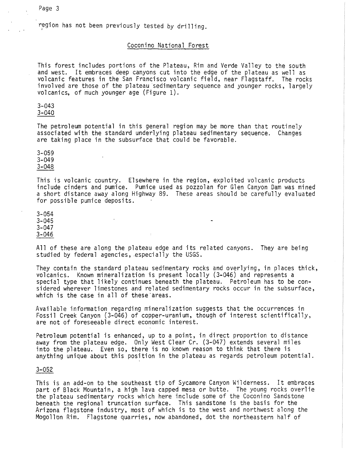region has not been previously tested by drilling.

# Coconino National Forest

This forest includes portions of the Plateau, Rim and Verde Valley to the south and west. It embraces deep canyons cut into the edge of the plateau as well as volcanic features in the San Francisco volcanic field, near Flagstaff. The rocks involved are those of the plateau sedimentary sequence and younger rocks, largely<br>volcanics, of much younger age (Figure 1).

3-043

3-040

The petroleum potential in this general region may be more than that routinely associated with the standard underlying plateau sedimentary sequence. Changes are taking place in the subsurface that could be favorable.

3-059 3-049 3-048

This is volcanic country. Elsewhere in the region, exploited volcanic products include cinders and pumice. Pumice used as pozzolan for Glen Canyon Dam was mined a short distance away along Highway 89. These areas should be carefully evaluated for possible pumice deposits.

3-054 3-045 3-047 3-046

All of these are along the plateau edge and its related canyons. They are being studied by federal agencies, especially the USGS.

They contain the standard plateau sedimentary rocks and overlying, in places thick, volcanics. Known mineralization is present locally (3-046) and represents a special type that likely continues beneath the plateau. Petroleum has to be considered wherever limestones and related sedimentary rocks occur in the subsurface, which is the case in all of these'areas.

Available information regarding mineralization suggests that the occurrences in Fossil Creek Canyon (3-046) of copper-uranium, though of interest scientifically, are not of foreseeable direct economic interest.

Petroleum potential is enhanced, up to a point, in direct proportion to distance away from the plateau edge. Only West Clear Cr. (3-047) extends several miles into the plateau. Even so, there is no known reason to think that there is anything unique about this position in the plateau as regards petroleum potential.

### 3-052

This is an add-on to the southeast tip of Sycamore Canyon Wilderness. It embraces part of Black Mountain, a high lava capped mesa or butte. The young rocks overlie the plateau sedimentary rocks which here include some of the Coconino Sandstone beneath the regional truncation surface. This sandstone is the basis for the Arizona flagstone industry, most of which is to the west and northwest along the Mogollon Rim. Flagstone quarries, now abandoned, dot the northeastern half of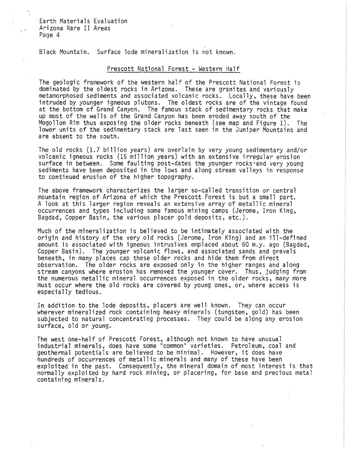Black Mountain. Surface lode mineralization is not known.

# Prescott National Forest - Western Half

The geologic framework of the western half of the Prescott National Forest is dominated by the oldest rocks in Arizona. These are granites and variously metamorphosed sediments and associated volcanic rocks. Locally, these have been intruded by younger igneous plutons. The oldest rocks are of the vintage found at the bottom of Grand Canyon. The famous stack of sedimentary rocks that make up most of the walls of the Grand Canyon has been eroded away south of the Mogollon Rim thus exposing the older rocks beneath (see map and Figure 1). The lower units of the sedimentary stack are last seen in the Juniper Mountains and are absent to the south.

The old rocks (1.7 billion years) are overlain by very young sedimentary and/or volcanic igneous rocks (15 million years) with an extensive irregular erosion<br>surface in between. Some faulting post-dates the younger rocks and very young sediments have been deposited in the lows and along stream valleys in response to continued erosion of the higher topography.

The above framework characterizes the larger so-called transition or central mountain region of Arizona of which the Prescott Forest is but a small part. A look at this larger region reveals an extensive array of metallic mineral occurrences and types including some famous mining camps (Jerome, Iron King, Bagdad, Copper Basin, the various placer gold deposits, etc.).

Much of the mineralization is believed to be intimately associated with the origin and history of the very old rocks (Jerome, Iron King) and an ill-defined amount is associated with igneous intrusives emplaced about 60 m.y. ago (Bagdad, Copper Basin). The younger volcanic flows, and associated sands and gravels beneath, in many places cap these older rocks and hide them from direct observation. The older rocks are exposed only in the higher ranges and along stream canyons where erosion has removed the younger cover. Thus, judging from the numerous metallic mineral occurrences exposed in the older rocks, many more must occur where the old rocks are covered by young ones, or, where access is especially tedious.

In addition to the lode deposits, placers are well known. They can occur wherever mineralized rock containing heavy minerals (tungsten, gold) has been subjected to natural concentrating processes. They could be along any erosion surface, old or young.

The west one-half of Prescott Forest, although not known to have unusual industrial minerals, does have some "common" varieties. Petroleum, coal and geothermal potentials are believed to be minimal. However, it does have hundreds of occurrences of metallic minerals and many of these have been exploited in the past. Consequently, the mineral domain of most interest is that normally exploited by hard rock mining, or placering, for base and precious metal containing minerals.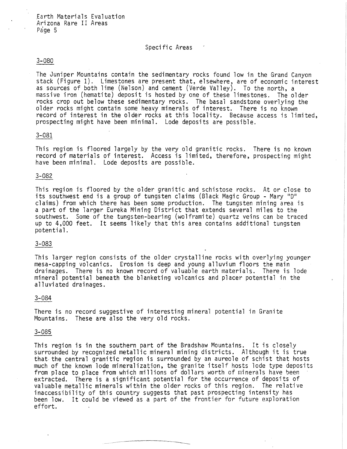# Specific Areas

### 3-080

The Juniper Mountains contain the sedimentary rocks found low in the Grand Canyon stack (Figure 1). Limestones are present that, elsewhere, are of economic interest as sources of both lime (Nelson) and cement (Verde Valley). To the north, a massive iron (hematite) deposit is hosted by one of these limestones. The older rocks crop out below these sedimentary rocks. The basal sandstone overlying the older rocks might contain some heavy minerals of interest. There is no known record of interest in the older rocks at this locality. Because access is limited, prospecting might have been minimal. Lode deposits are possible.

### 3-081

This region is floored largely by the very old granitic rocks. There is no known record of materials of interest. Access is limited, therefore, prospecting might have been minimal. Lode deposits are possible.

### 3-082

This region is floored by the older granitic and schistose rocks. At or close to its southwest end is a group of tungsten claims (Black Magic Group - Mary "D" claims) from which there has been some production. The tungsten mining area is a part of the larger Eureka Mining District that extends several miles to the southwest. Some of the tungsten-bearing (wolframite) quartz veins can be traced up to 4,000 feet. It seems likely that this area contains additional tungsten potential.

### 3-083

This larger region consists of the older crystalline rocks with overlying younger mesa-capping volcanics. Erosion is deep and young alluvium floors the main drainages. There is no known record of valuable earth materials. There is lode mineral potential beneath the blanketing volcanics and placer potential in the alluviated drainages.

#### 3-084

There is no record suggestive of interesting mineral potential in Granite Mountains. These are also the very old rocks.

### 3-085

This region is in the southern part of the Bradshaw Mountains. It is closely surrounded by recognized metallic mineral mining districts. Although it is true that the central granitic region is surrounded by an aureole of schist that hosts much of the known lode mineralization, the granite itself hosts lode type deposits from place to place from which millions of dollars worth of minerals have been extracted. There is a significant potential for the occurrence of deposits of valuable metallic minerals within the older rocks of this region. The relative inaccessibility of this country suggests that past prospecting intensity has been low. It could be viewed as a part of the frontier for future exploration effort.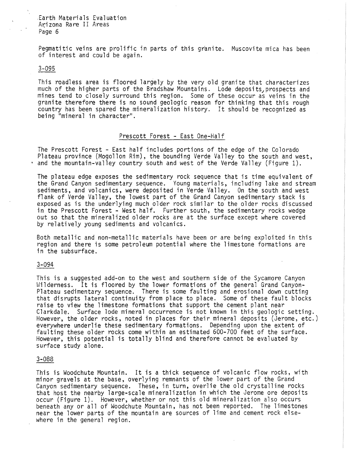Pegmatitic veins are prolific in parts of this granite. Muscovite mica has been of interest and could be again.

#### 3-095 I

This roadless area is floored largely by the very old granite that characterizes much of the higher parts of the Bradshaw Mountains. Lode deposits, prospects and mines tend to closely surround this region. Some of these occur as veins in the granite therefore there is no sound geologic reason for thinking that this rough country has been spared the mineralization history. It should be recognized as being "mineral in character".

# Prescott Forest - East One-Half

The Prescott Forest - East half includes portions of the edge of the Colorado Plateau province (Mogollon Rim), the bounding Verde Valley to the south and west, and the mountain-valley country south and west of the Verde Valley (Figure 1).

The plateau edge exposes the sedimentary rock sequence that is time equivalent of the Grand Canyon sedimentary sequence. Young materials, including lake and stream sediments, and volcanics, were deposited in Verde Valley. On the south and west flank of Verde Valley, the lowest part of the Grand Canyon sedimentary stack is exposed as is the underlying much older rock similar to the older rocks discussed in the Prescott Forest - West half. Further south, the sedimentary rocks wedge out so that the mineralized older rocks are at the surface except where covered by relatively young sediments and volcanics.

Both metallic and non-metallic materials have been or are being exploited in this region and there is some petroleum potential where the limestone formations are in the subsurface.

# 3-094

This is a suggested add-on to the west and southern side of the Sycamore Canyon Wilderness. It is floored by the lower formations of the general Grand Canyon-Plateau sedimentary sequence. There is some faulting and erosional down cutting that disrupts lateral continuity from place to place. Some of these fault blocks raise to view the limestone formations that support the cement plant near Clarkdale. Surface lode mineral occurrence is not known in this geologic setting. However, the older rocks, noted in places for their mineral deposits (Jerome, etc.) everywhere underlie these sedimentary formations. Depending upon the extent of faulting these older rocks come within an estimated 600-700 feet of the surface. However, this potential is totally blind and therefore cannot be evaluated by surface study alone.

### 3-088

This is Woodchute Mountain. It is a thick sequence of volcanic flow rocks, with minor gravels at the base, overlying remnants of the lower part of the Grand Canyon sedimentary sequence. These, in turn, overlie the old crystalline rocks that host the nearby large-scale mineralization in which the Jerome ore deposits occur (Figure 1). However, whether or not this old mineralization also occurs beneath any or all of Woodchute Mountain, has not been reported. The limestones near the lower parts of the mountain are sources of lime and cement rock elsewhere in the general region.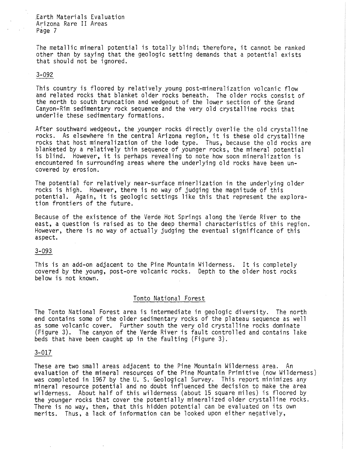The metallic mineral potential is totally blind; therefore, it cannot be ranked other than by saying that the geologic setting demands that a potential exists that should not be ignored.

# 3-092

This country is floored by relatively young post-mineralization volcanic flow and related rocks that blanket older rocks beneath. The older rocks consist of the north to south truncation and wedgeout of the lower section of the Grand Canyon-Rim sedimentary rock sequence and the very old crystalline rocks that underlie these sedimentary formations.

After southward wedgeout, the younger rocks directly overlie the old crystalline rocks. As elsewhere in the central Arizona region, it is these old crystalline rocks that host mineralization of the lode type. Thus, because the old rocks are blanketed by a relatively thin sequence of younger rocks, the mineral potential is blind. However, it is perhaps revealing to note how soon mineralization is encountered in surrounding areas where the underlying old rocks have been uncovered by erosion.

The potential for relatively near-surface minerlization in the underlying older rocks is high. However, there is no way of judging the magnitude of this potential. Again, it is geologic settings like this that represent the explora-<br>tion frontiers of the future.

Because of the existence of the Verde Hot Springs along the Verde River to the east, a question is raised as to the deep thermal characteristics of this region. However, there is no way of actually judging the eventual significance of this aspect.

### 3-093

This is an add-on adjacent to the Pine Mountain Wilderness. It is completely covered by the young, post-ore volcanic rocks. Depth to the older host rocks below is not known.

### Tonto National Forest

The Tonto National Forest area is intermediate in geologic diversity. The north end contains some of the older sedimentary rocks of the plateau sequence as well as some volcanic cover. Further south the very old crystalline rocks dominate (Figure 3). The canyon of the Verde River is fault controlled and contains lake beds that have been caught up in the faulting (Figure 3).

# 3-017

These are two small areas adjacent to the Pine Mountain Wilderness area. An evaluation of the mineral resources of the Pine Mountain Primitive (now Wilderness)<br>was completed in 1967 by the U. S. Geological Survey. This report minimizes any mineral resource potential and no doubt influenced the decision to make the area<br>wilderness. About half of this wilderness (about 15 square miles) is floored by the younger rocks that cover the potentially mineralized older crystalline rocks. There is no way, then, that this hidden potential can be evaluated on its own merits. Thus, a lack of information can be looked upon either negatively,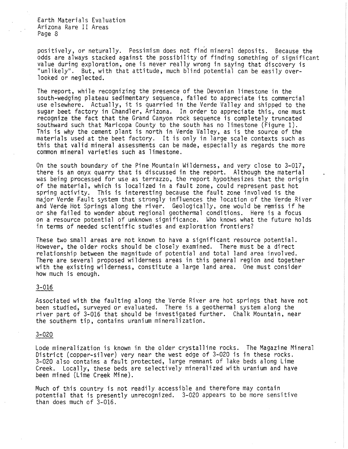positively, or neturally. Pessimism does not find mineral deposits. Because the odds are always stacked against the possibility of finding something of significant<br>value during exploration, one is never really wrong in saying that discovery is "unlikely". But, with that attitude, much blind potential can be easily overlooked or neglected.

The report, while recognizing the presence of the Devonian limestone in the south-wedging plateau sedimentary sequence, failed to appreciate its commercial use elsewhere. Actually, it is quarried in the Verde Valley and shipped to the sugar beet factory in Chandler, Arizona. In order to appreciate this, one must recognize the fact that the Grand Canyon rock sequence is completely truncated southward such that Maricopa County to the south has no limestone (Figure 1). This is why the cement plant is north in Verde Valley, as is the source of the materials used at the beet factory. It is only in large scale contexts such as this that valid mineral assessments can be made, especially as regards the more common mineral varieties such as limestone.

On the south boundary of the Pine Mountain Wilderness, and very close to 3-017, there is an onyx quarry that is discussed in the report. Although the material was being processed for use as terrazzo, the report hypothesizes that the origin of the material, which is localized in a fault zone, could represent past hot spring activity. This is interesting because the fault zone involved is the major Verde Fault system that strongly influences the location of the Verde River and Verde Hot Springs along the river. Geologically, one would be remiss if he or she failed to wonder about regional geothermal conditions. Here is a focus on a resource potential of unknown significance. Who knows what the future holds in terms of needed scientific studies and exploration frontiers?

These two small areas are not known to have a significant resource potential. However, the older rocks should be closely examined. There must be a direct relationship between the magnitude of potential and total land area involved. There are several proposed wilderness areas in this general region and together with the existing wilderness, constitute a large land area. One must consider how much is enough.

### 3-016

Associated with the faulting along the Verde River are hot springs that have not been studied, surveyed or evaluated. There is a geothermal system along the river part of 3-016 that should be investigated further. Chalk Mountain, near the southern tip, contains uranium mineralization.

#### 3-020

Lode mineralization is known in the older crystalline rocks. The Magazine Mineral District (copper-silver) very near the west edge of 3-020 is in these rocks. 3-020 also contains a fault protected, large remnant of lake beds along Lime Creek. Locally, these beds are selectively mineralized with uranium and have been mined (Lime Creek Mine).

Much of this country is not readily accessible and therefore may contain potential that is presently unrecognized. 3-020 appears to be more sensitive than does much of 3-016.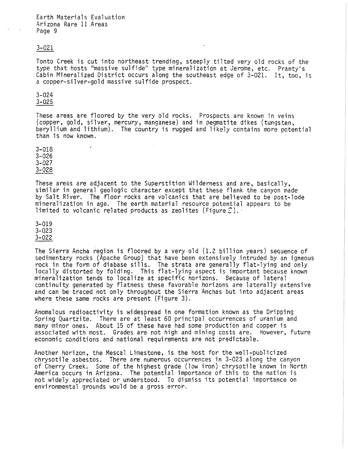$\ddot{\phantom{0}}$ 

### 3-021

Tonto Creek is cut into northeast trending, steeply tilted very old rocks of the type that hosts "massive sulfide" type mineralization at Jerome, etc. Pranty's Cabin Mineralized District occurs along the southeast edge of 3-021. It, too, is a copper-silver-gold massive sulfide prospect.

# 3-024

3-025

These areas are floored by the very old rocks. Prospects are known in veins (copper, gold, silver, mercury, manganese) and in pegmatite dikes (tungsten, beryllium and lithium). The country is rugged and likely contains more potential than is now known.

3-018 3-026 3-027 3-028

These areas are adjacent to the Superstition Wilderness and are, basically, similar in general geologic character except that these flank the canyon made by Salt River. The floor rocks are volcanics that are believed to be post-lode mineralization in age. The earth material resource potential appears to be limited to volcanic related products as zeolites (Figure  $\mathcal{C}$ ).

3-019 3-023 3-022

The Sierra Ancha region is floored by a very old (1.2 billion years) sequence of sedimentary rocks (Apache Group) that have been extensively intruded by an igneous rock in the form of diabase sills. The strata are generally flat-lying and only locally distorted by folding. This flat-lying aspect is important because known mineralization tends to localize at specific horizons. Because of lateral continuity generated by flatness these favorable horizons are laterally extensive and can be traced not only throughout the Sierra Anchas but into adjacent areas where these same rocks are present (Figure 3).

Anomalous radioactivity is widespread in one formation known as the Dripping<br>Spring Quartzite. There are at least 60 principal occurrences of uranium and many minor ones. About 15 of these have had some production and copper is associated with most. Grades are not high and mining costs are. However, future economic conditions and national requirements are not predictable.

Another horizon, the Mescal Limestone, is the host for the well-publicized chrysotile asbestos. There are numerous occurrences in 3-023 along the canyon of Cherry Creek. Some of the highest grade (low iron) chrysotile known in North America occurs in Arizona. The potential importance of this to the nation is not widely appreciated or understood. To dismiss its potential importance on environmental grounds would be a gross error.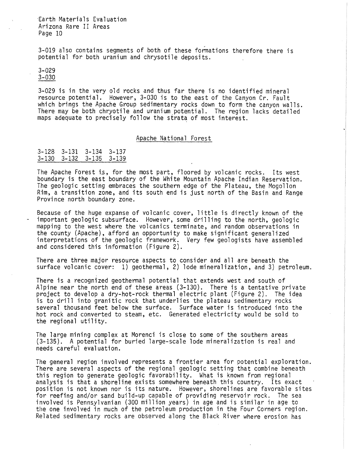3-019 also contains segments of both of these formations therefore there is potential for both uranium and chrysotile deposits,

# 3-029 3-030

3-029 is in the very old rocks and thus far there is no identified mineral resource potential. However, 3-030 is to the east of the Canyon Cr. Fault which brings the Apache Group sedimentary rocks down to form the canyon walls. There may be both chryotile and uranium potential. The region lacks detailed maps adequate to precisely follow the strata of most interest.

# Apache National Forest

| 3-128 3-131 3-134 3-137 |  |
|-------------------------|--|
| 3-130 3-132 3-135 3-139 |  |

The Apache Forest is, for the most part, floored by volcanic rocks. Its west boundary is the east boundary of the White Mountain Apache Indian Reservation. The geologic setting embraces the southern edge of the Plateau, the Mogollon Rim, a transition zone, and its south end is just north of the Basin and Range Province north boundary zone.

Because of the huge expanse of volcanic cover, little is directly known of the important geologic subsurface. However, some drilling to the north, geologic mapping to the west where the volcanics terminate, and random observations in the county (Apache), afford an opportunity to make significant generalized interpretations of the geologic framework. Very few geologists have assembled and considered this information (Figure 2).

There are three major resource aspects to consider and all are beneath the surface volcanic cover: 1) geothermal, 2) lode mineralization, and 3) petroleum.

There is a recognized geothermal potential that extends west and south of Alpine near the north end of these areas (3-130). There is a tentative private project to develop a dry-hat-rock thermal electric plant (Figure 2). The idea is to drill into granitic rock that underlies the plateau sedimentary rocks several thousand feet below the surface. Surface water is introduced into the hot rock and converted to steam, etc. Generated electricity would be sold to the regional utility.

The large mining complex at Morenci is close to some of the southern areas (3-135). A potential for buried large-scale lode mineralization is real and needs careful evaluation.

The general region involved represents a frontier area for potential exploration. There are several aspects of the regional geologic setting that combine beneath this region to generate geologic favorability. What is known from regional analysis is that a shoreline exists somewhere beneath this country. Its exact position is not known nor is its nature. However, shorelines are favorable sites for reefing and/or sand build-up capable of providing reservoir rock. The sea involved is Pennsylvanian (300 million years) in age and is similar in age to the one involved in much of the petroleum production in the Four Corners region. Related sedimentary rocks are observed along the Black River where erosion has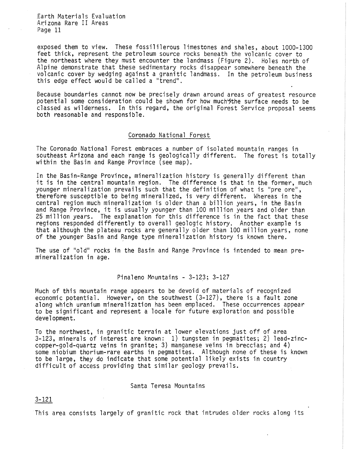exposed them to view. These fossililerous limestones and shales, about 1000-1300 feet thick, represent the petroleum source rocks beneath the volcanic cover to the northeast where they must encounter the landmass (Figure 2). Holes north of Alpine demonstrate that these sedimentary rocks disappear somewhere beneath the volcanic cover by wedging against a granitic landmass. In the petroleum business this edge effect would be called a "trend".

Because boundaries cannot now be precisely drawn around areas of greatest resource potential some consideration could be shown for how much the surface needs to be classed as wilderness. In this regard, the original Forest Service proposal seems both reasonable and responsible.

### Coronado National Forest

The Coronado National Forest embraces a number of isolated mountain ranges in southeast Arizona and each range is geologically different. The forest is totally within the Basin and Range Province (see map).

In the Basin-Range Province, mineralization history is generally different than it is in the central mountain region. The difference is that in the former, much younger mineralization prevails such that the definition of what is "pre ore", therefore susceptible to being mineralized, is very different. Whereas in the central region much mineralization is older than a billion years, in the Basin and Range Province, it is usually younger than 100 million years and older than 25 million years. The explanation for this difference is in the fact that these regions responded differently to overall geologic history. Another example is that although the plateau rocks are generally older than 100 million years, none of the younger Basin and Range type mineralization history is known there.

The use of "old" rocks in the Basin and Range Province is intended to mean pre-<br>mineralization in age.

Pinaleno Mountains - 3-123; 3-127

Much of this mountain range appears to be devoid of materials of recognized economic potential. However, on the southwest (3-127), there is a fault zone along which uranium mineralization has been emplaced. These occurrences appear to be significant and represent a locale for future exploration and possible development.

To the northwest, in granitic terrain at lower elevations just off of area 3-123, minerals of interest are known: 1) tungsten in pegmatites; 2) lead-zinccopper-gold-quartz veins in granite; 3) manganese veins in breccias; and 4) some niobium thorium-rare earths in pegmatites. Although none of these is known to be large, they do indicate that some potential likely exists in country difficult of access providing that similar geology prevails.

### Santa Teresa Mountains

3-121

This area consists largely of granitic rock that intrudes older rocks along its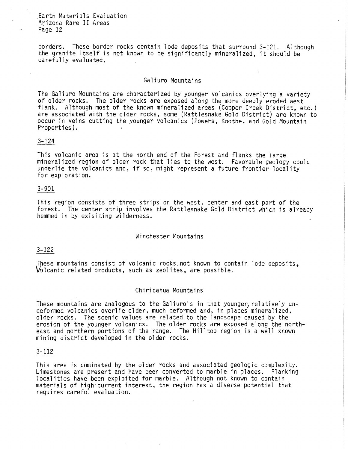borders. These border rocks contain lode deposits that surround 3-121. Although the granite itself is not known to be significantly mineralized, it should be carefully evaluated.

### Galiuro Mountains

The Galiuro Mountains are characterized by younger volcanics overlying a variety of older rocks. The older rocks are exposed along the more deeply eroded west flank. Although most of the known mineralized areas (Copper Creek District, etc.) are associated with the older rocks, some (Rattlesnake Gold District) are known to occur in veins cutting the younger volcanics (Powers, Knothe, and Gold Mountain Properties).

# 3-124

This volcanic area is at the north end of the Forest and flanks the large mineralized region of older rock that lies to the west. Favorable geology could underlie the volcanics and, if so, might represent a future frontier locality for exploration.

# 3-901

This region consists of three strips on the west, center and east part of the forest. The center strip involves the Rattlesnake Gold District which is already hemmed in by exisiting wilderness.

### Winchester Mountains

# 3-122

These mountains consist of volcanic rocks not known to contain lode deposits.

# Chiricahua Mountains

These mountains are analogous to the Galiuro's in that younger, relatively undeformed volcanics overlie older, much deformed and, in places mineralized, older rocks. The scenic values are related to the landscape caused by the erosion of the younger volcanics. The'older rocks are exposed along the northeast and northern portions of the range. The Hilltop region is a well known mining district developed in the older rocks.

### 3-112

This area is dominated by the older rocks and associated geologic complexity. Limestones are present and have been converted to marble in places. Flanking localities have been exploited for marble. Although not known to contain materials of high current interest, the region has a diverse potential that requires careful evaluation.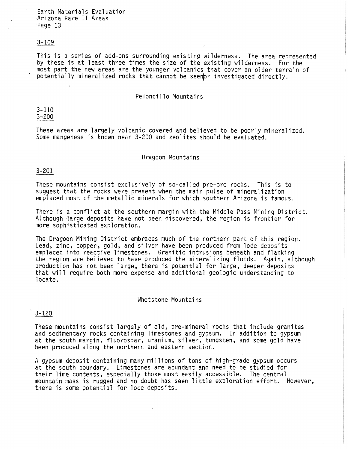### 3-109

This is a series of add-ons surrounding existing wilderness. The area represented by these is at least three times the size of the existing wilderness. For the most part the new areas are the younger volcanics that cover an older terrain of potentially mineralized rocks that cannot be seen for investigated directly.

# Peloncill0 Mountains

3-110 3-200

These areas are largely volcanic covered and believed to be poorly mineralized. Some mangenese is known near 3-200 and zeolites should be evaluated.

# Dragoon Mountains

### 3-201

These mountains consist exclusively of so-called pre-ore rocks. This is to suggest that the rocks were present when the main pulse of mineralization emplaced most of the metallic minerals for which southern Arizona is famous.

There is a conflict at the southern margin with the Middle Pass Mining District. Although large deposits have not been discovered, the region is frontier for more sophisticated exploration.

The Dragoon Mining District embraces much of the northern part of this region. Lead, zinc, copper, gold, and silver have been produced from lode deposits the region are believed to have produced the mineralizing fluids. Again, although production has not been large, there is potential for large, deeper deposits that will require both more expense and additional geologic understanding to locate.

### Whetstone Mountains

# 3-120

These mountains consist largely of old, pre-mineral rocks that include granites and sedimentary rocks containing limestones and gypsum. In addition to gypsum at the south margin, fluorospar, uranium, silver, tungsten, and some gold have been produced along the northern and eastern section.

A gypsum deposit containing many millions of tons of high-grade gypsum occurs at the south boundary. Limestones are abundant and need to be studied for their lime contents, especially those most easily accessible. The central mountain mass is rugged and no doubt has seen little exploration effort. However, there is some potential for lode deposits.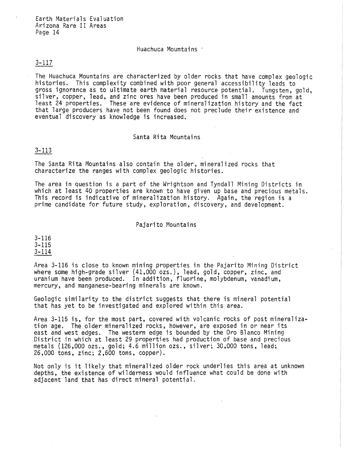# Huachuca Mountains -

# 3-117

The Huachuca Mountains are characterized by older rocks that have complex geologic histories. This complexity combined with poor general accessibility leads to gross ignorance as to ultimate earth material resource potential. Tungsten, gold, silver, copper, lead, and zinc ores have been produced in small amounts from at least 24 properties. These are evidence of mineralization history and the fact that large producers have not been found does not preclude their existence and eventual discovery as knowledge is increased.

# Santa Rita Mountains

# 3-113

The Santa Rita Mountains also contain the older, mineralized rocks that characterize the ranges with complex geologic histories.

The area in question is a part of the Wrightson and Tyndall Mining Districts in which at least 40 properties are known to have given up base and precious metals. This record is indicative of mineralization history. Again, the region is a prime candidate for future study, exploration, discovery, and development.

### Pajarito Mountains

3-116 3-115 3-114

Area 3-116 is close to known mining properties in the Pajarito Mining District where some high-grade silver (41,000 ozs.), lead, gold, copper, zinc, and uranium have been produced. In addition, fluorine, molybdenum, vanadium, mercury, and manganese-bearing minerals are known.

Geologic similarity to the district suggests that there is mineral potential that has yet to be investigated and explored within this area.

Area 3-115 is, for the most part, covered with volcanic rocks of post mineralization age. The older mineralized rocks, however, are exposed in or near its east and west edges. The western edge is bounded by the Oro Blanco Mining District in which at least 29 properties had production of base and precious metals (126,000 ozs., gold; 4.6 million ozs., silver; 30,000 tons, lead; 26,000 tons, zinc; 2,600 tons, copper).

Not only is it likely that mineralized older rock underlies this area at unknown depths, the existence of wilderness would influence what could be done with adjacent land that has direct mineral potential.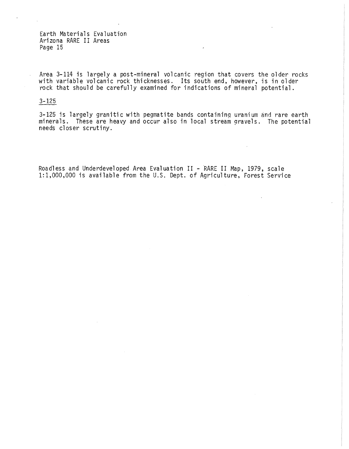Area 3-114 is largely a post-mineral volcanic region that covers the older rocks with variable volcanic rock thicknesses. Its south end, however, is in older rock that should be carefully examined for indications of mineral potential.

# 3-125

3-125 is largely granitic with pegmatite bands containinq uranium and rare earth minerals. These are heavy and occur also in local stream 9ravels. The potential needs closer scrutiny.

Roadless and Underdeveloped Area Evaluation II - RARE II Map, 1979, scale 1:1,000,000 is available from the U.S. Dept. of Agriculture, Forest Service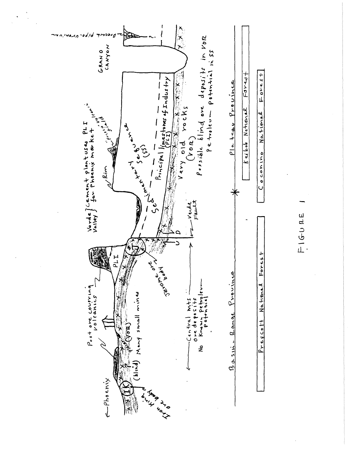

FIGURE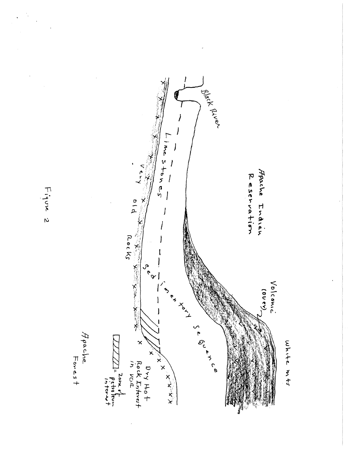